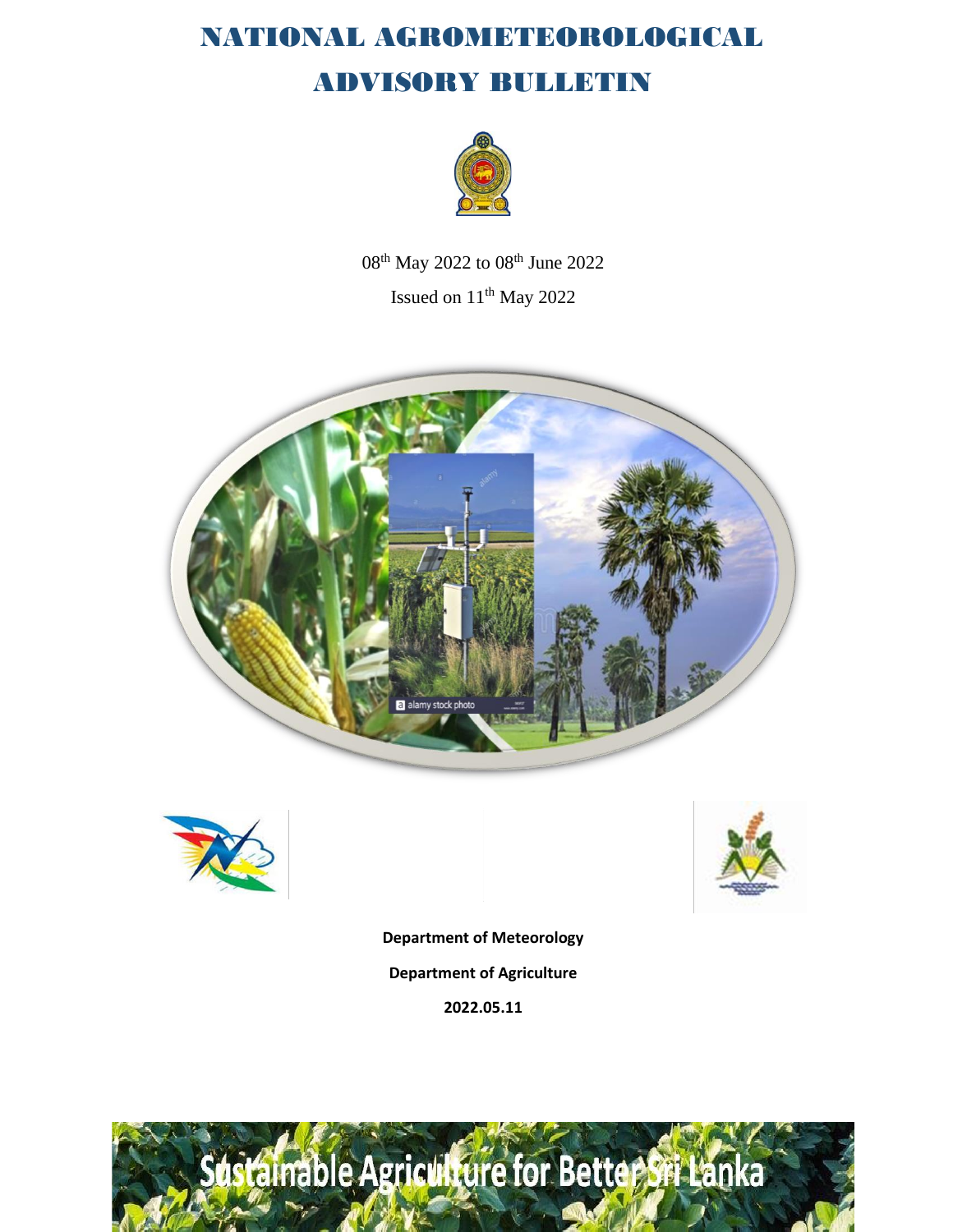

08<sup>th</sup> May 2022 to 08<sup>th</sup> June 2022 Issued on 11<sup>th</sup> May 2022







**Department of Meteorology Department of Agriculture**

**2022.05.11**

# dstalnable Agriculture for Better Sri Lanka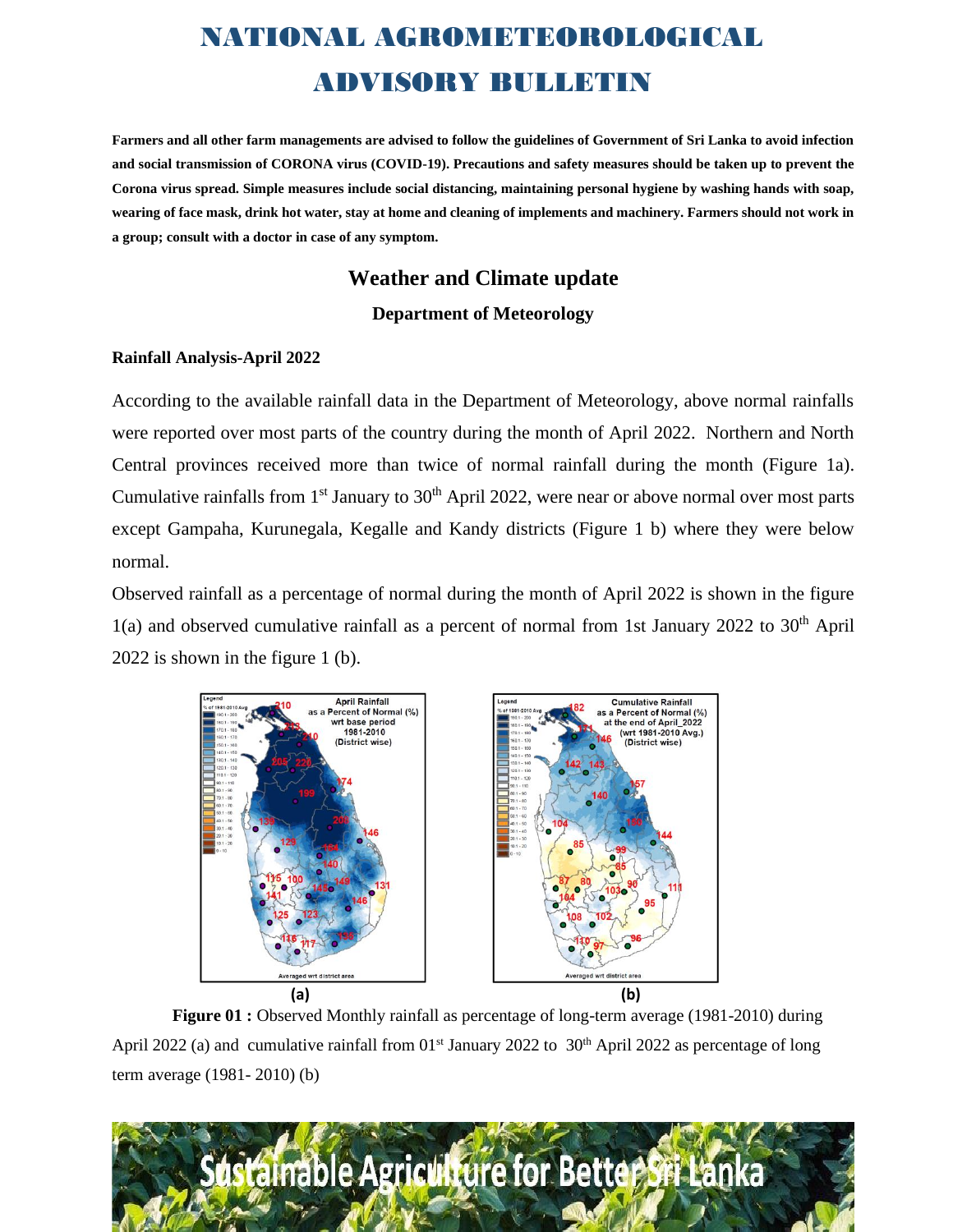**Farmers and all other farm managements are advised to follow the guidelines of Government of Sri Lanka to avoid infection and social transmission of CORONA virus (COVID-19). Precautions and safety measures should be taken up to prevent the Corona virus spread. Simple measures include social distancing, maintaining personal hygiene by washing hands with soap, wearing of face mask, drink hot water, stay at home and cleaning of implements and machinery. Farmers should not work in a group; consult with a doctor in case of any symptom.** 

### **Weather and Climate update Department of Meteorology**

#### **Rainfall Analysis-April 2022**

According to the available rainfall data in the Department of Meteorology, above normal rainfalls were reported over most parts of the country during the month of April 2022. Northern and North Central provinces received more than twice of normal rainfall during the month (Figure 1a). Cumulative rainfalls from  $1<sup>st</sup>$  January to  $30<sup>th</sup>$  April 2022, were near or above normal over most parts except Gampaha, Kurunegala, Kegalle and Kandy districts (Figure 1 b) where they were below normal.

Observed rainfall as a percentage of normal during the month of April 2022 is shown in the figure 1(a) and observed cumulative rainfall as a percent of normal from 1st January 2022 to 30<sup>th</sup> April 2022 is shown in the figure 1 (b).



**Figure 01 :** Observed Monthly rainfall as percentage of long-term average (1981-2010) during April 2022 (a) and cumulative rainfall from  $01<sup>st</sup>$  January 2022 to  $30<sup>th</sup>$  April 2022 as percentage of long term average (1981- 2010) (b)

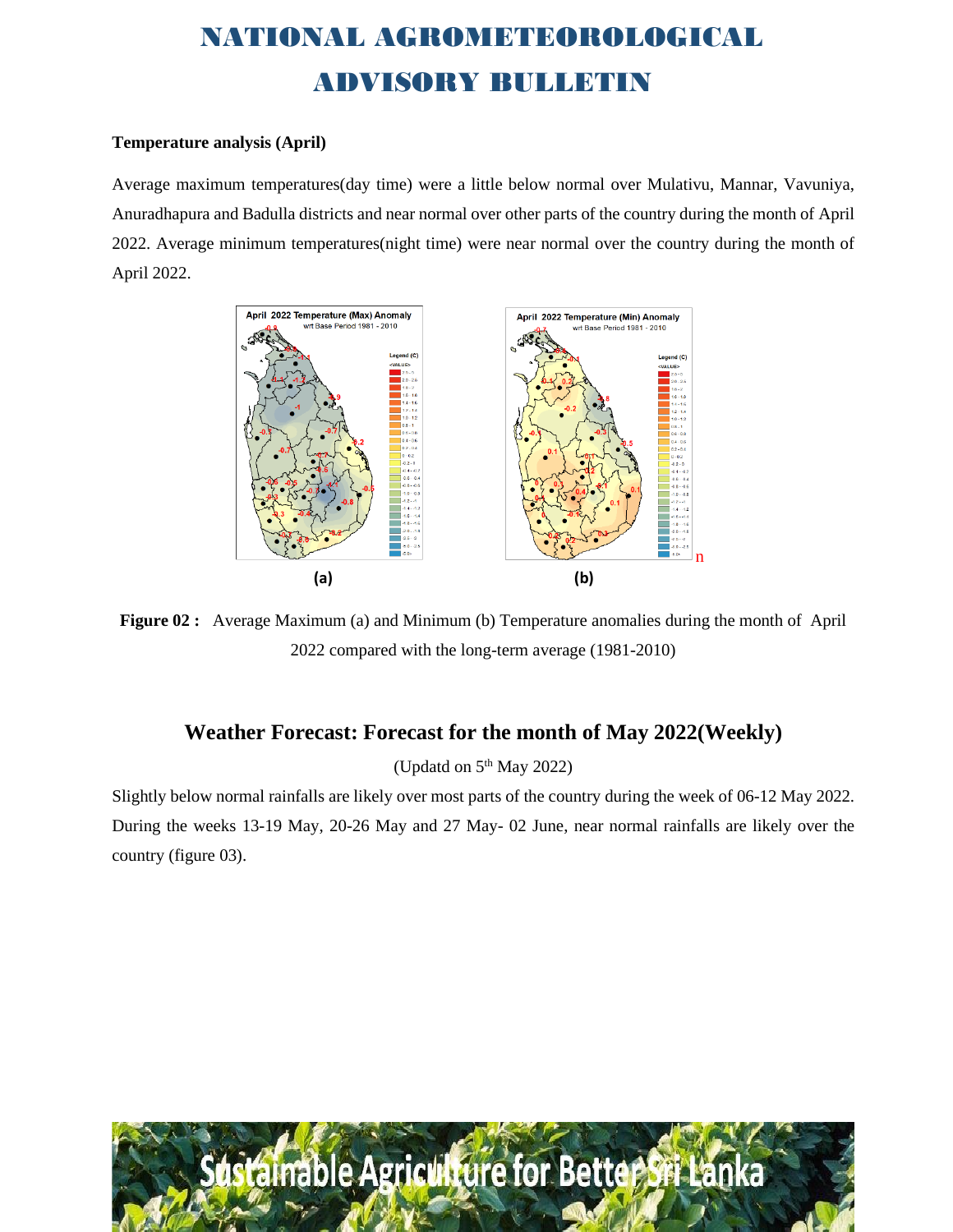#### **Temperature analysis (April)**

Average maximum temperatures(day time) were a little below normal over Mulativu, Mannar, Vavuniya, Anuradhapura and Badulla districts and near normal over other parts of the country during the month of April 2022. Average minimum temperatures(night time) were near normal over the country during the month of April 2022.



**Figure 02 :** Average Maximum (a) and Minimum (b) Temperature anomalies during the month of April 2022 compared with the long-term average (1981-2010)

#### **Weather Forecast: Forecast for the month of May 2022(Weekly)**

(Updatd on  $5<sup>th</sup>$  May 2022)

Slightly below normal rainfalls are likely over most parts of the country during the week of 06-12 May 2022. During the weeks 13-19 May, 20-26 May and 27 May- 02 June, near normal rainfalls are likely over the country (figure 03).

dstainable Agriculture for Better Sri Lanka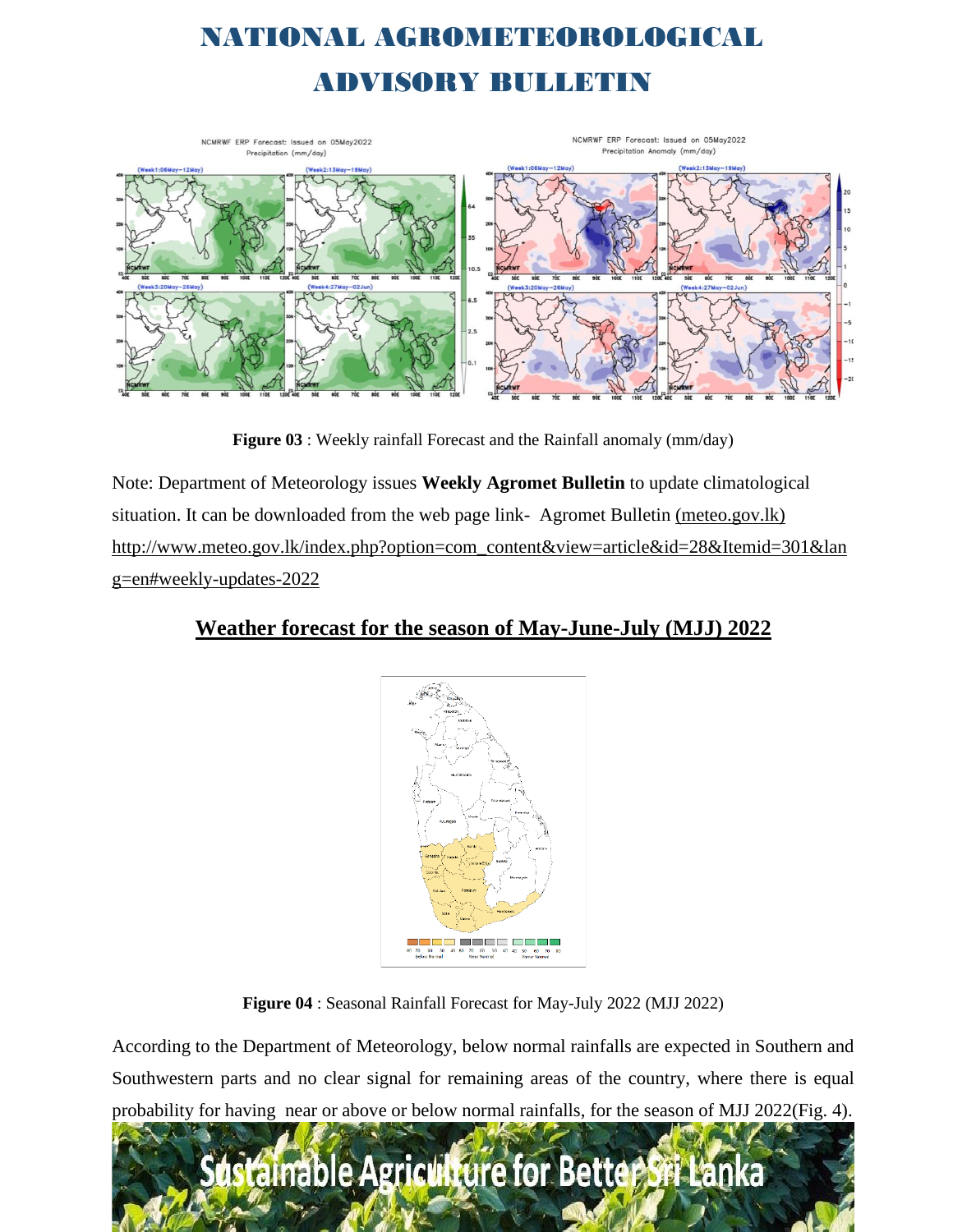

**Figure 03** : Weekly rainfall Forecast and the Rainfall anomaly (mm/day)

Note: Department of Meteorology issues **Weekly Agromet Bulletin** to update climatological situation. It can be downloaded from the web page link- [Agromet Bulletin \(meteo.gov.lk\)](http://www.meteo.gov.lk/index.php?option=com_content&view=article&id=28&Itemid=301&lang=en#previous-weekly-updates-2021) http://www.meteo.gov.lk/index.php?option=com\_content&view=article&id=28&Itemid=301&lan g=en#weekly-updates-2022

#### **Weather forecast for the season of May-June-July (MJJ) 2022**



**Figure 04** : Seasonal Rainfall Forecast for May-July 2022 (MJJ 2022)

According to the Department of Meteorology, below normal rainfalls are expected in Southern and Southwestern parts and no clear signal for remaining areas of the country, where there is equal probability for having near or above or below normal rainfalls, for the season of MJJ 2022(Fig. 4).

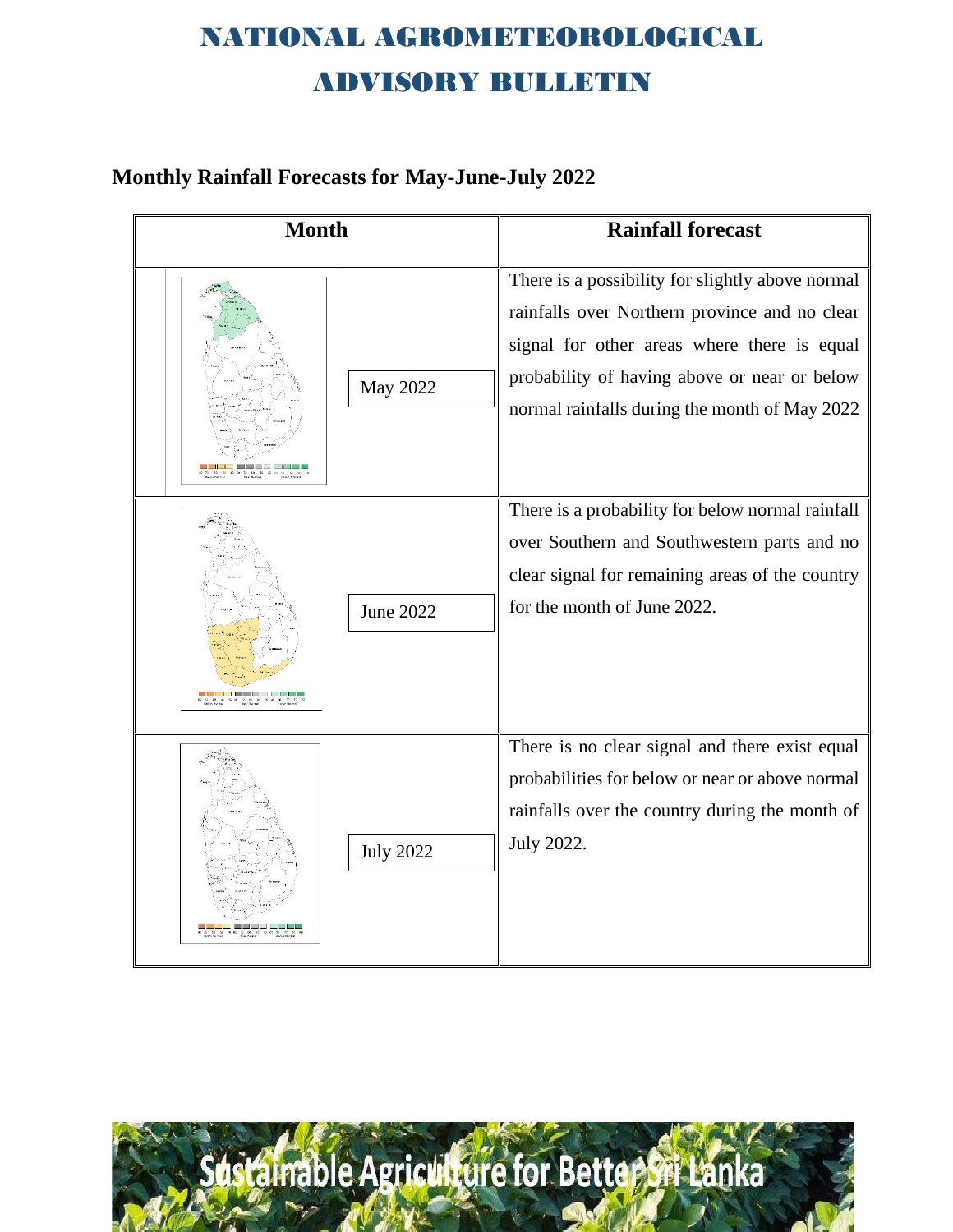#### **Monthly Rainfall Forecasts for May-June-July 2022**

| <b>Month</b>     | <b>Rainfall forecast</b>                                                                                                                                                                                                                          |
|------------------|---------------------------------------------------------------------------------------------------------------------------------------------------------------------------------------------------------------------------------------------------|
| May 2022         | There is a possibility for slightly above normal<br>rainfalls over Northern province and no clear<br>signal for other areas where there is equal<br>probability of having above or near or below<br>normal rainfalls during the month of May 2022 |
| <b>June 2022</b> | There is a probability for below normal rainfall<br>over Southern and Southwestern parts and no<br>clear signal for remaining areas of the country<br>for the month of June 2022.                                                                 |
| <b>July 2022</b> | There is no clear signal and there exist equal<br>probabilities for below or near or above normal<br>rainfalls over the country during the month of<br>July 2022.                                                                                 |

dstainable Agriculture for Better Sri Lanka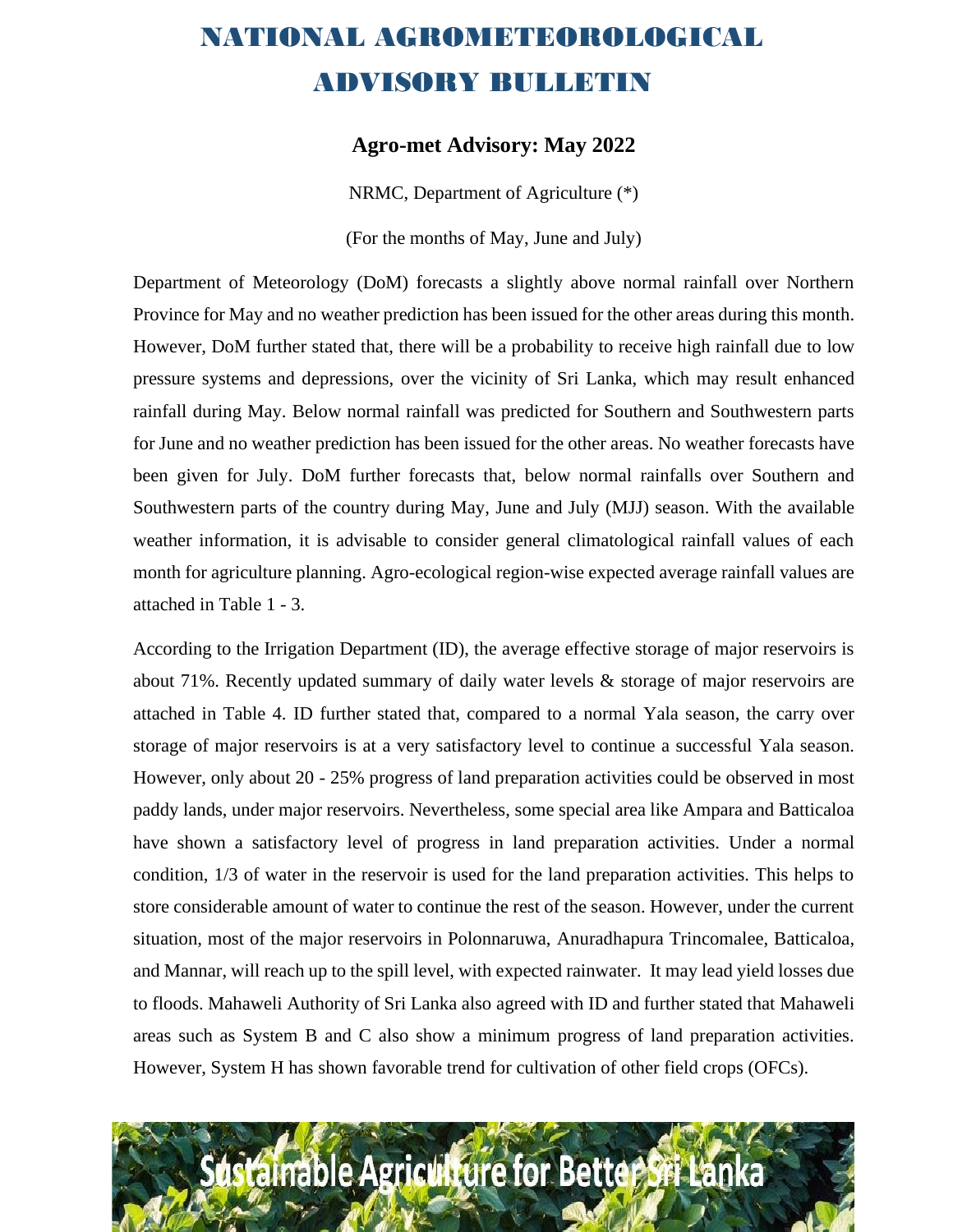#### **Agro-met Advisory: May 2022**

NRMC, Department of Agriculture (\*)

(For the months of May, June and July)

Department of Meteorology (DoM) forecasts a slightly above normal rainfall over Northern Province for May and no weather prediction has been issued for the other areas during this month. However, DoM further stated that, there will be a probability to receive high rainfall due to low pressure systems and depressions, over the vicinity of Sri Lanka, which may result enhanced rainfall during May. Below normal rainfall was predicted for Southern and Southwestern parts for June and no weather prediction has been issued for the other areas. No weather forecasts have been given for July. DoM further forecasts that, below normal rainfalls over Southern and Southwestern parts of the country during May, June and July (MJJ) season. With the available weather information, it is advisable to consider general climatological rainfall values of each month for agriculture planning. Agro-ecological region-wise expected average rainfall values are attached in Table 1 - 3.

According to the Irrigation Department (ID), the average effective storage of major reservoirs is about 71%. Recently updated summary of daily water levels & storage of major reservoirs are attached in Table 4. ID further stated that, compared to a normal Yala season, the carry over storage of major reservoirs is at a very satisfactory level to continue a successful Yala season. However, only about 20 - 25% progress of land preparation activities could be observed in most paddy lands, under major reservoirs. Nevertheless, some special area like Ampara and Batticaloa have shown a satisfactory level of progress in land preparation activities. Under a normal condition, 1/3 of water in the reservoir is used for the land preparation activities. This helps to store considerable amount of water to continue the rest of the season. However, under the current situation, most of the major reservoirs in Polonnaruwa, Anuradhapura Trincomalee, Batticaloa, and Mannar, will reach up to the spill level, with expected rainwater. It may lead yield losses due to floods. Mahaweli Authority of Sri Lanka also agreed with ID and further stated that Mahaweli areas such as System B and C also show a minimum progress of land preparation activities. However, System H has shown favorable trend for cultivation of other field crops (OFCs).

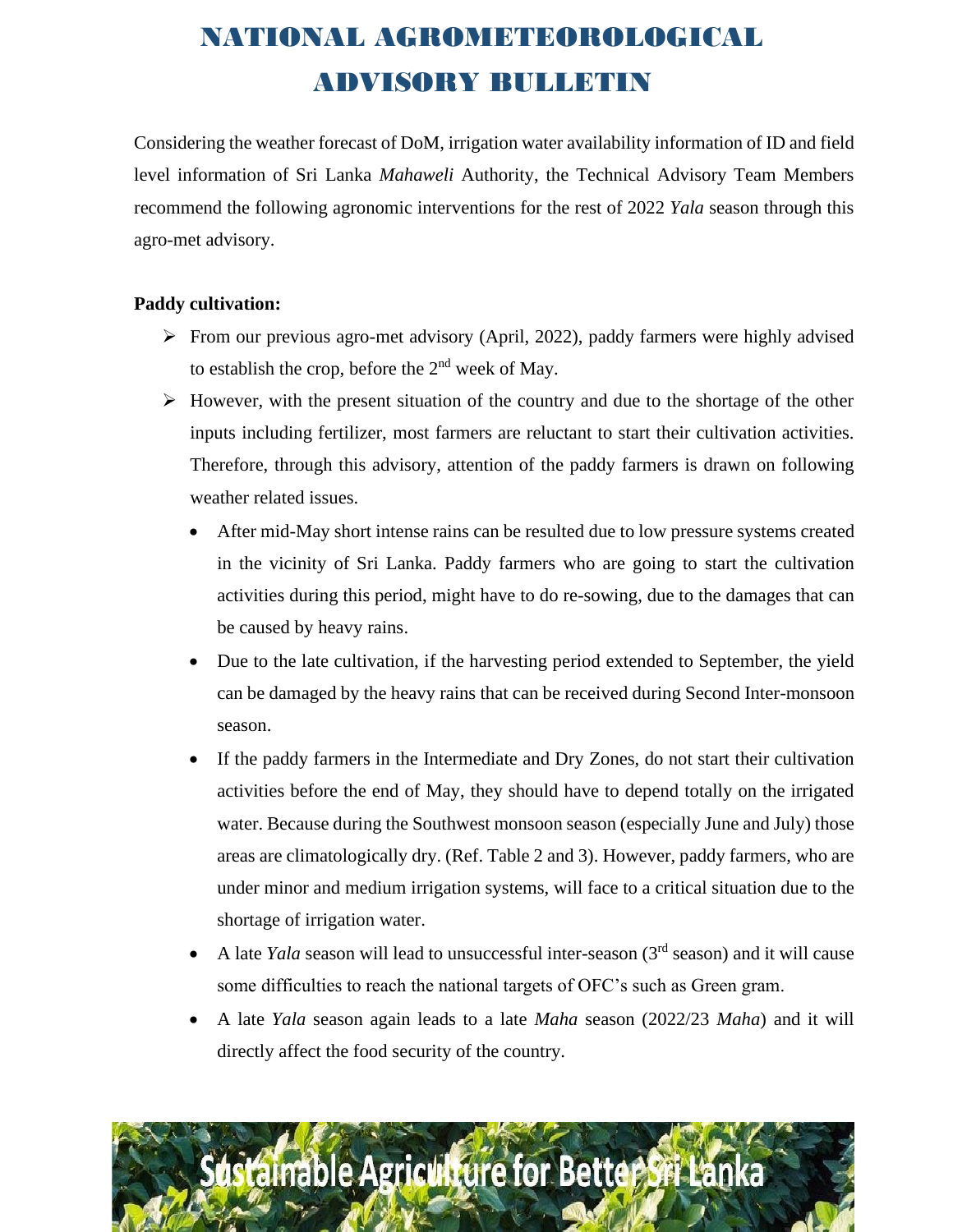Considering the weather forecast of DoM, irrigation water availability information of ID and field level information of Sri Lanka *Mahaweli* Authority, the Technical Advisory Team Members recommend the following agronomic interventions for the rest of 2022 *Yala* season through this agro-met advisory.

#### **Paddy cultivation:**

- ➢ From our previous agro-met advisory (April, 2022), paddy farmers were highly advised to establish the crop, before the  $2<sup>nd</sup>$  week of May.
- ➢ However, with the present situation of the country and due to the shortage of the other inputs including fertilizer, most farmers are reluctant to start their cultivation activities. Therefore, through this advisory, attention of the paddy farmers is drawn on following weather related issues.
	- After mid-May short intense rains can be resulted due to low pressure systems created in the vicinity of Sri Lanka. Paddy farmers who are going to start the cultivation activities during this period, might have to do re-sowing, due to the damages that can be caused by heavy rains.
	- Due to the late cultivation, if the harvesting period extended to September, the yield can be damaged by the heavy rains that can be received during Second Inter-monsoon season.
	- If the paddy farmers in the Intermediate and Dry Zones, do not start their cultivation activities before the end of May, they should have to depend totally on the irrigated water. Because during the Southwest monsoon season (especially June and July) those areas are climatologically dry. (Ref. Table 2 and 3). However, paddy farmers, who are under minor and medium irrigation systems, will face to a critical situation due to the shortage of irrigation water.
	- A late *Yala* season will lead to unsuccessful inter-season (3rd season) and it will cause some difficulties to reach the national targets of OFC's such as Green gram.
	- A late *Yala* season again leads to a late *Maha* season (2022/23 *Maha*) and it will directly affect the food security of the country.

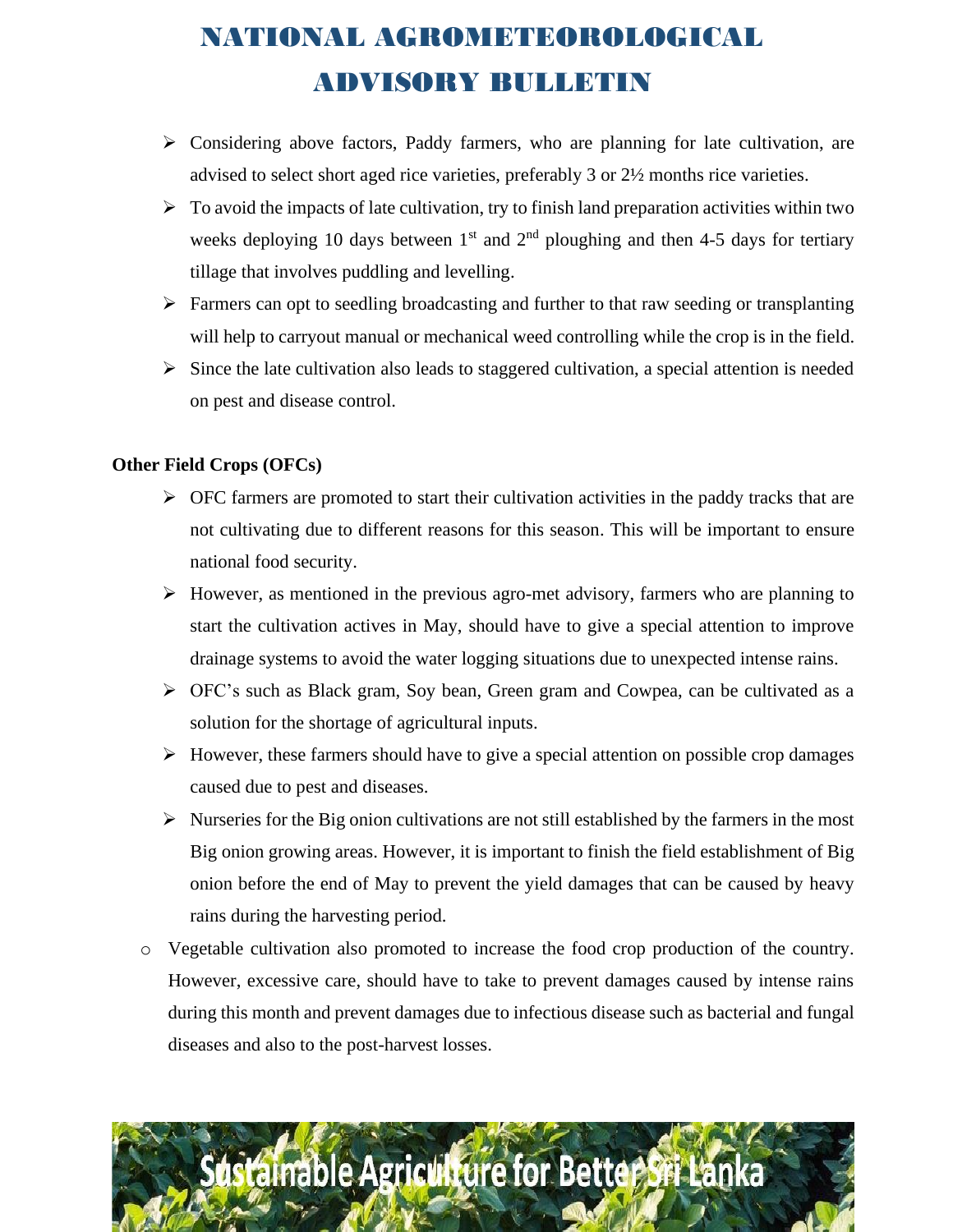- $\triangleright$  Considering above factors, Paddy farmers, who are planning for late cultivation, are advised to select short aged rice varieties, preferably 3 or 2½ months rice varieties.
- $\triangleright$  To avoid the impacts of late cultivation, try to finish land preparation activities within two weeks deploying 10 days between  $1<sup>st</sup>$  and  $2<sup>nd</sup>$  ploughing and then 4-5 days for tertiary tillage that involves puddling and levelling.
- ➢ Farmers can opt to seedling broadcasting and further to that raw seeding or transplanting will help to carryout manual or mechanical weed controlling while the crop is in the field.
- $\triangleright$  Since the late cultivation also leads to staggered cultivation, a special attention is needed on pest and disease control.

#### **Other Field Crops (OFCs)**

- $\triangleright$  OFC farmers are promoted to start their cultivation activities in the paddy tracks that are not cultivating due to different reasons for this season. This will be important to ensure national food security.
- ➢ However, as mentioned in the previous agro-met advisory, farmers who are planning to start the cultivation actives in May, should have to give a special attention to improve drainage systems to avoid the water logging situations due to unexpected intense rains.
- ➢ OFC's such as Black gram, Soy bean, Green gram and Cowpea, can be cultivated as a solution for the shortage of agricultural inputs.
- ➢ However, these farmers should have to give a special attention on possible crop damages caused due to pest and diseases.
- $\triangleright$  Nurseries for the Big onion cultivations are not still established by the farmers in the most Big onion growing areas. However, it is important to finish the field establishment of Big onion before the end of May to prevent the yield damages that can be caused by heavy rains during the harvesting period.
- o Vegetable cultivation also promoted to increase the food crop production of the country. However, excessive care, should have to take to prevent damages caused by intense rains during this month and prevent damages due to infectious disease such as bacterial and fungal diseases and also to the post-harvest losses.

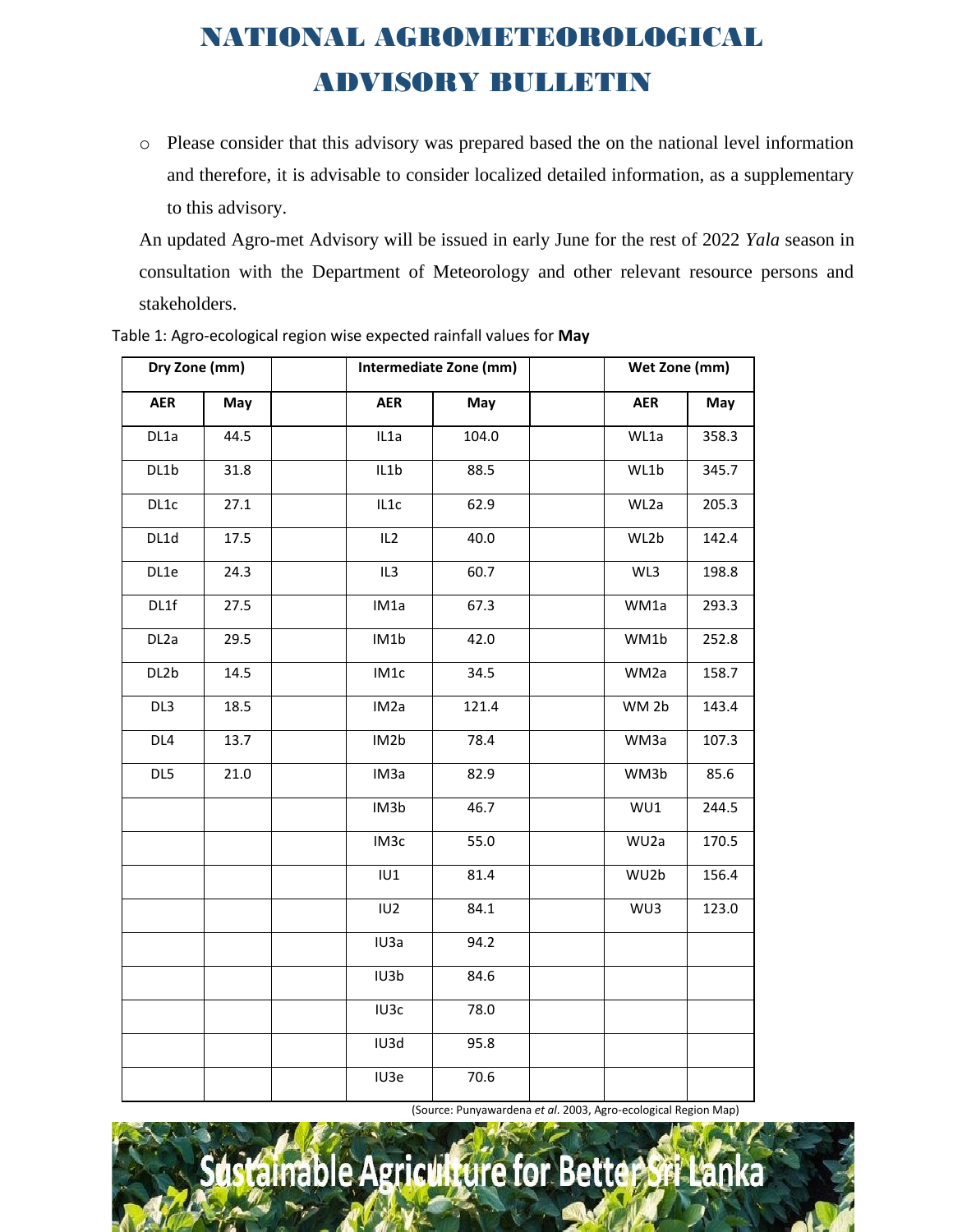o Please consider that this advisory was prepared based the on the national level information and therefore, it is advisable to consider localized detailed information, as a supplementary to this advisory.

An updated Agro-met Advisory will be issued in early June for the rest of 2022 *Yala* season in consultation with the Department of Meteorology and other relevant resource persons and stakeholders.

| Dry Zone (mm)     |      |                   | Intermediate Zone (mm) | Wet Zone (mm)    |       |
|-------------------|------|-------------------|------------------------|------------------|-------|
| <b>AER</b>        | May  | <b>AER</b>        | May                    | <b>AER</b>       | May   |
| DL1a              | 44.5 | IL1a              | 104.0                  | WL1a             | 358.3 |
| DL1b              | 31.8 | IL1b              | 88.5                   | WL1b             | 345.7 |
| DL1c              | 27.1 | IL1c              | 62.9                   | WL2a             | 205.3 |
| DL1d              | 17.5 | IL2               | 40.0<br>WL2b           |                  | 142.4 |
| DL1e              | 24.3 | IL3               | 60.7<br>WL3            |                  | 198.8 |
| DL1f              | 27.5 | IM1a              | 67.3                   | WM1a             | 293.3 |
| DL <sub>2</sub> a | 29.5 | IM1b              | 42.0                   | WM1b             | 252.8 |
| DL2b              | 14.5 | IM1c              | 34.5                   | WM2a             | 158.7 |
| DL3               | 18.5 | IM <sub>2</sub> a | 121.4                  | WM <sub>2b</sub> | 143.4 |
| DL4               | 13.7 | IM2b              | 78.4                   | WM3a             | 107.3 |
| DL5               | 21.0 | IM <sub>3</sub> a | 82.9                   | WM3b             | 85.6  |
|                   |      | IM3b              | 46.7                   | WU1              | 244.5 |
|                   |      | IM <sub>3</sub> c | 55.0                   | WU2a             | 170.5 |
|                   |      | IU1               | 81.4                   | WU2b             | 156.4 |
|                   |      | IU <sub>2</sub>   | 84.1                   | WU3              | 123.0 |
|                   |      | IU3a              | 94.2                   |                  |       |
|                   |      | IU3b              | 84.6                   |                  |       |
|                   |      | IU3c              | 78.0                   |                  |       |
|                   |      | IU3d              | 95.8                   |                  |       |
|                   |      | IU3e              | 70.6                   |                  |       |

Table 1: Agro-ecological region wise expected rainfall values for **May**

(Source: Punyawardena *et al*. 2003, Agro-ecological Region Map)

## tainable Agriculture for Better Sri Lanka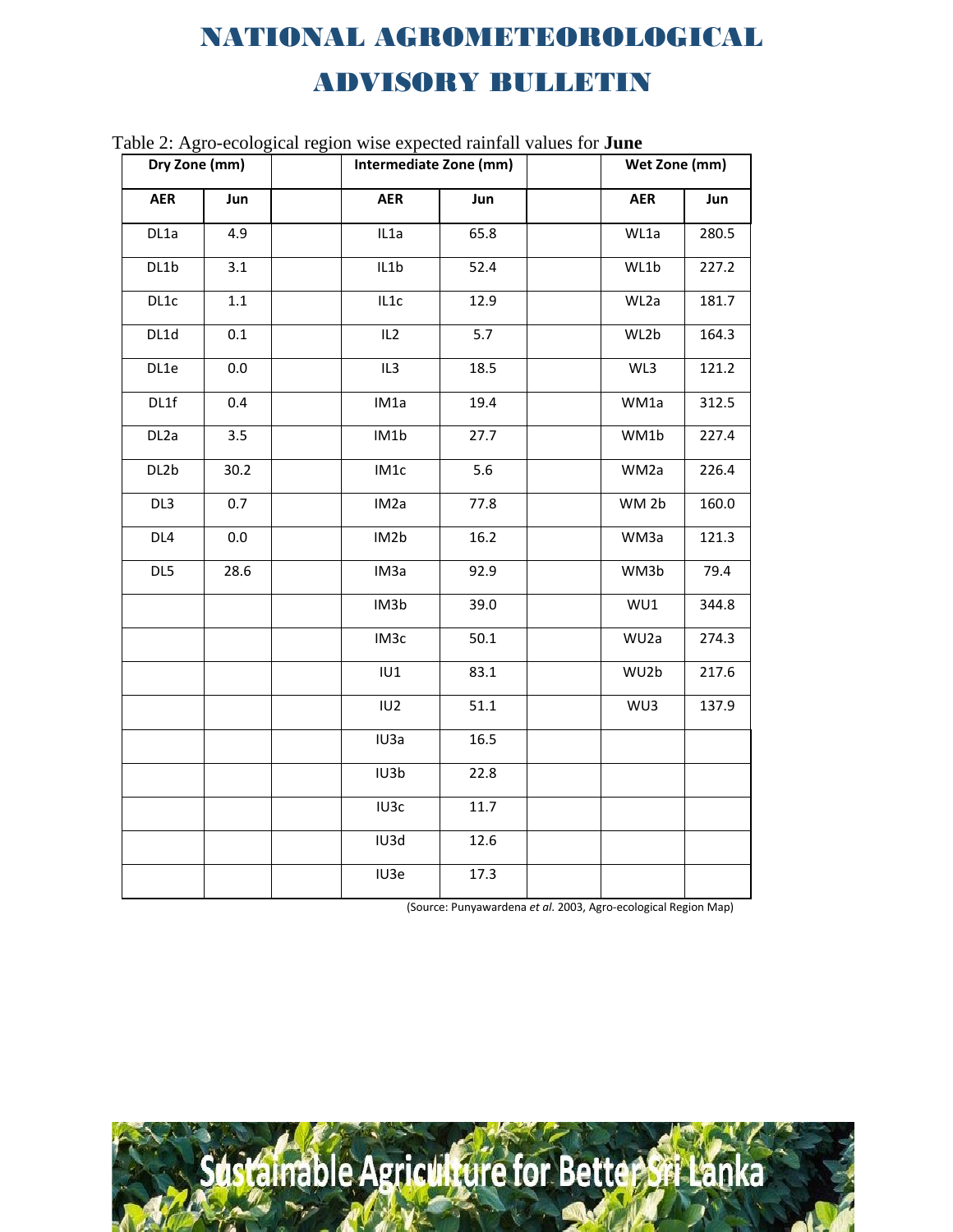| $a$ and $\alpha$ . Agro-ecological region wise expected railian values for <b>June</b><br>Dry Zone (mm) |      | Intermediate Zone (mm) |      |  | Wet Zone (mm)    |       |  |
|---------------------------------------------------------------------------------------------------------|------|------------------------|------|--|------------------|-------|--|
| <b>AER</b>                                                                                              | Jun  | <b>AER</b>             | Jun  |  | <b>AER</b>       | Jun   |  |
| DL1a                                                                                                    | 4.9  | IL1a                   | 65.8 |  | WL1a             | 280.5 |  |
| DL1b                                                                                                    | 3.1  | IL1b                   | 52.4 |  | WL1b             | 227.2 |  |
| DL1c                                                                                                    | 1.1  | IL1c                   | 12.9 |  | WL2a             | 181.7 |  |
| DL1d                                                                                                    | 0.1  | IL <sub>2</sub>        | 5.7  |  | WL2b             | 164.3 |  |
| DL1e                                                                                                    | 0.0  | IL <sub>3</sub>        | 18.5 |  | WL3              | 121.2 |  |
| DL1f                                                                                                    | 0.4  | IM1a                   | 19.4 |  | WM1a             | 312.5 |  |
| DL <sub>2</sub> a                                                                                       | 3.5  | IM1b                   | 27.7 |  | WM1b             | 227.4 |  |
| DL2b                                                                                                    | 30.2 | IM1c                   | 5.6  |  | WM2a             | 226.4 |  |
| DL3                                                                                                     | 0.7  | IM <sub>2</sub> a      | 77.8 |  | WM <sub>2b</sub> | 160.0 |  |
| DL <sub>4</sub>                                                                                         | 0.0  | IM2b                   | 16.2 |  | WM3a             | 121.3 |  |
| DL5                                                                                                     | 28.6 | IM <sub>3</sub> a      | 92.9 |  | WM3b             | 79.4  |  |
|                                                                                                         |      | IM3b                   | 39.0 |  | WU1              | 344.8 |  |
|                                                                                                         |      | IM3c                   | 50.1 |  | WU <sub>2a</sub> | 274.3 |  |
|                                                                                                         |      | IUI                    | 83.1 |  | WU2b             | 217.6 |  |
|                                                                                                         |      | IU <sub>2</sub>        | 51.1 |  | WU3              | 137.9 |  |
|                                                                                                         |      | IU3a                   | 16.5 |  |                  |       |  |
|                                                                                                         |      | IU3b                   | 22.8 |  |                  |       |  |
|                                                                                                         |      | IU3c                   | 11.7 |  |                  |       |  |
|                                                                                                         |      | IU3d                   | 12.6 |  |                  |       |  |
|                                                                                                         |      | IU3e                   | 17.3 |  |                  |       |  |

Table 2: Agro-ecological region wise expected rainfall values for **June**

(Source: Punyawardena *et al*. 2003, Agro-ecological Region Map)

Sustainable Agriculture for Better Sri Lanka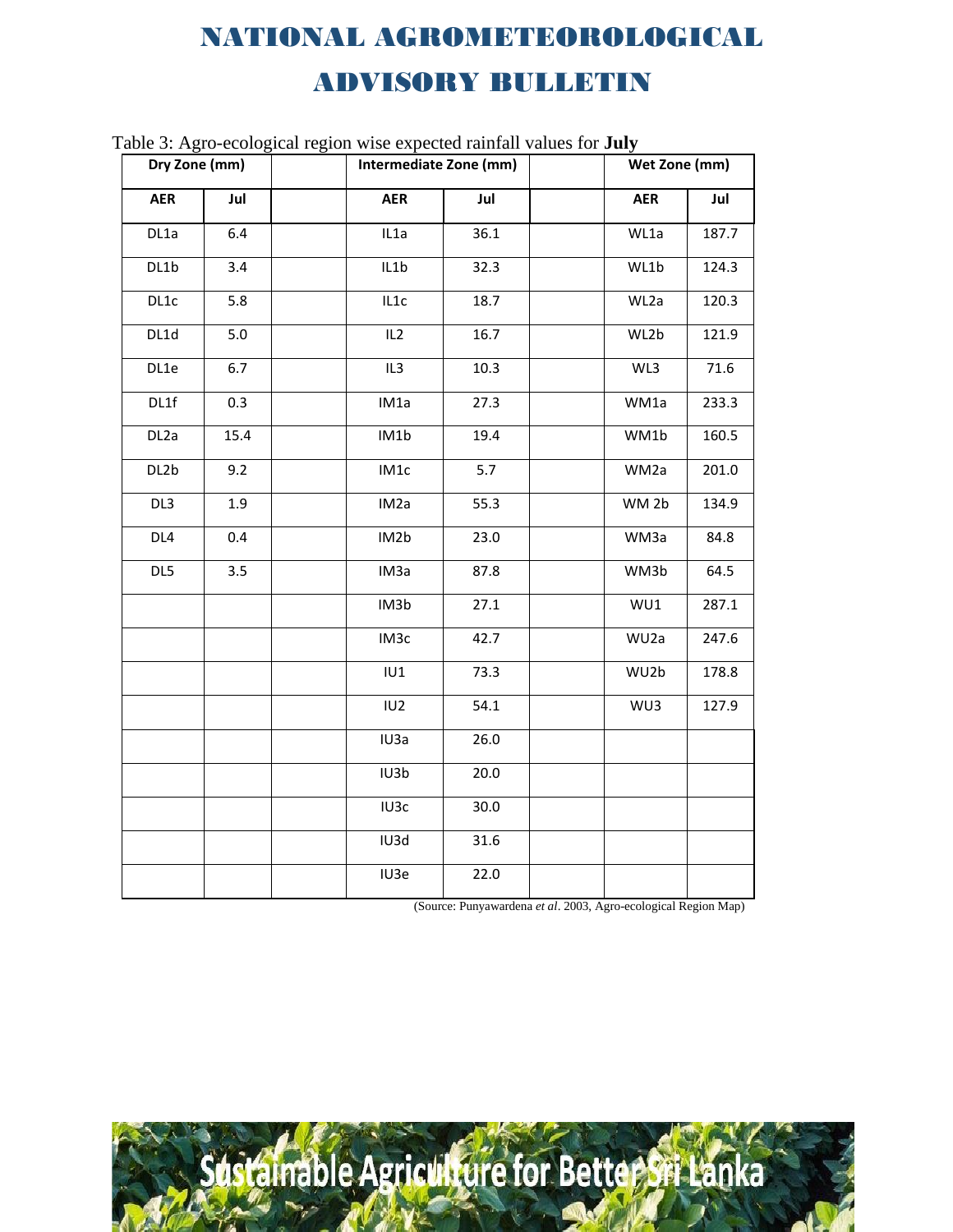| radic 9. Agro-ceological region wise expected railitan values for $\mathbf{Juy}$<br>Dry Zone (mm) |      | Intermediate Zone (mm) |                   | Wet Zone (mm) |  |                   |       |
|---------------------------------------------------------------------------------------------------|------|------------------------|-------------------|---------------|--|-------------------|-------|
| <b>AER</b>                                                                                        | Jul  |                        | <b>AER</b>        | Jul           |  | <b>AER</b>        | Jul   |
| DL1a                                                                                              | 6.4  |                        | IL1a              | 36.1          |  | WL1a              | 187.7 |
| DL1b                                                                                              | 3.4  |                        | IL1b              | 32.3          |  | WL1b              | 124.3 |
| DL1c                                                                                              | 5.8  |                        | IL1c              | 18.7          |  | WL2a              | 120.3 |
| DL1d                                                                                              | 5.0  |                        | IL <sub>2</sub>   | 16.7          |  | WL2b              | 121.9 |
| DL1e                                                                                              | 6.7  |                        | IL <sub>3</sub>   | 10.3          |  | WL3               | 71.6  |
| DL1f                                                                                              | 0.3  |                        | IM1a              | 27.3          |  | WM1a              | 233.3 |
| DL <sub>2</sub> a                                                                                 | 15.4 |                        | IM1b              | 19.4          |  | WM1b              | 160.5 |
| DL2b                                                                                              | 9.2  |                        | IM1c              | 5.7           |  | WM2a              | 201.0 |
| DL3                                                                                               | 1.9  |                        | IM <sub>2</sub> a | 55.3          |  | WM 2b             | 134.9 |
| DL <sub>4</sub>                                                                                   | 0.4  |                        | IM2b              | 23.0          |  | WM3a              | 84.8  |
| DL5                                                                                               | 3.5  |                        | IM <sub>3</sub> a | 87.8          |  | WM3b              | 64.5  |
|                                                                                                   |      |                        | IM3b              | 27.1          |  | WU1               | 287.1 |
|                                                                                                   |      |                        | IM3c              | 42.7          |  | WU <sub>2</sub> a | 247.6 |
|                                                                                                   |      |                        | IU1               | 73.3          |  | WU2b              | 178.8 |
|                                                                                                   |      |                        | IU <sub>2</sub>   | 54.1          |  | WU3               | 127.9 |
|                                                                                                   |      |                        | IU3a              | 26.0          |  |                   |       |
|                                                                                                   |      |                        | IU3b              | 20.0          |  |                   |       |
|                                                                                                   |      |                        | IU3c              | 30.0          |  |                   |       |
|                                                                                                   |      |                        | IU3d              | 31.6          |  |                   |       |
|                                                                                                   |      |                        | IU3e              | 22.0          |  |                   |       |

Table 3: Agro-ecological region wise expected rainfall values for **July**

(Source: Punyawardena *et al*. 2003, Agro-ecological Region Map)

dstalnable Agriculture for Better Sri Lanka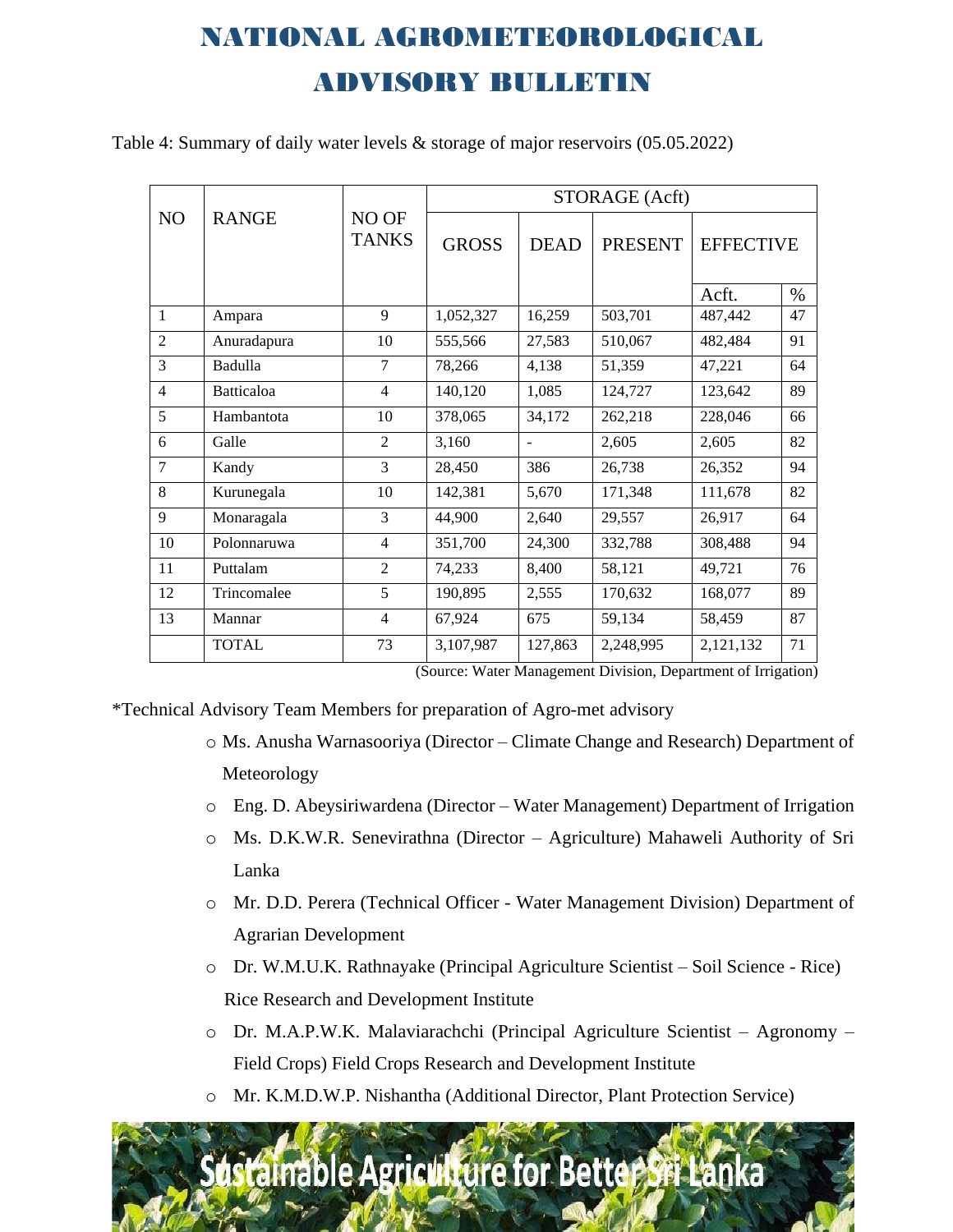Table 4: Summary of daily water levels & storage of major reservoirs (05.05.2022)

|                |                   |                       | STORAGE (Acft) |                |                |                  |      |
|----------------|-------------------|-----------------------|----------------|----------------|----------------|------------------|------|
| N <sub>O</sub> | <b>RANGE</b>      | NO OF<br><b>TANKS</b> |                | <b>DEAD</b>    | <b>PRESENT</b> | <b>EFFECTIVE</b> |      |
|                |                   |                       |                |                |                | Acft.            | $\%$ |
| 1              | Ampara            | 9                     | 1,052,327      | 16,259         | 503,701        | 487,442          | 47   |
| $\overline{2}$ | Anuradapura       | 10                    | 555,566        | 27,583         | 510,067        | 482,484          | 91   |
| 3              | Badulla           | $\overline{7}$        | 78,266         | 4,138          | 51,359         | 47,221           | 64   |
| $\overline{4}$ | <b>Batticaloa</b> | $\overline{4}$        | 140,120        | 1,085          | 124,727        | 123,642          | 89   |
| 5              | Hambantota        | 10                    | 378,065        | 34,172         | 262,218        | 228,046          | 66   |
| 6              | Galle             | $\overline{2}$        | 3,160          | $\blacksquare$ | 2,605          | 2,605            | 82   |
| $\overline{7}$ | Kandy             | 3                     | 28,450         | 386            | 26,738         | 26,352           | 94   |
| 8              | Kurunegala        | 10                    | 142,381        | 5,670          | 171,348        | 111,678          | 82   |
| 9              | Monaragala        | 3                     | 44,900         | 2,640          | 29,557         | 26,917           | 64   |
| 10             | Polonnaruwa       | $\overline{4}$        | 351,700        | 24,300         | 332,788        | 308,488          | 94   |
| 11             | Puttalam          | $\overline{2}$        | 74,233         | 8,400          | 58,121         | 49,721           | 76   |
| 12             | Trincomalee       | 5                     | 190,895        | 2,555          | 170,632        | 168,077          | 89   |
| 13             | Mannar            | $\overline{4}$        | 67,924         | 675            | 59,134         | 58,459           | 87   |
|                | <b>TOTAL</b>      | 73                    | 3,107,987      | 127,863        | 2,248,995      | 2,121,132        | 71   |

(Source: Water Management Division, Department of Irrigation)

\*Technical Advisory Team Members for preparation of Agro-met advisory

- o Ms. Anusha Warnasooriya (Director Climate Change and Research) Department of Meteorology
- o Eng. D. Abeysiriwardena (Director Water Management) Department of Irrigation
- o Ms. D.K.W.R. Senevirathna (Director Agriculture) Mahaweli Authority of Sri Lanka
- o Mr. D.D. Perera (Technical Officer Water Management Division) Department of Agrarian Development
- o Dr. W.M.U.K. Rathnayake (Principal Agriculture Scientist Soil Science Rice) Rice Research and Development Institute
- o Dr. M.A.P.W.K. Malaviarachchi (Principal Agriculture Scientist Agronomy Field Crops) Field Crops Research and Development Institute
- o Mr. K.M.D.W.P. Nishantha (Additional Director, Plant Protection Service)